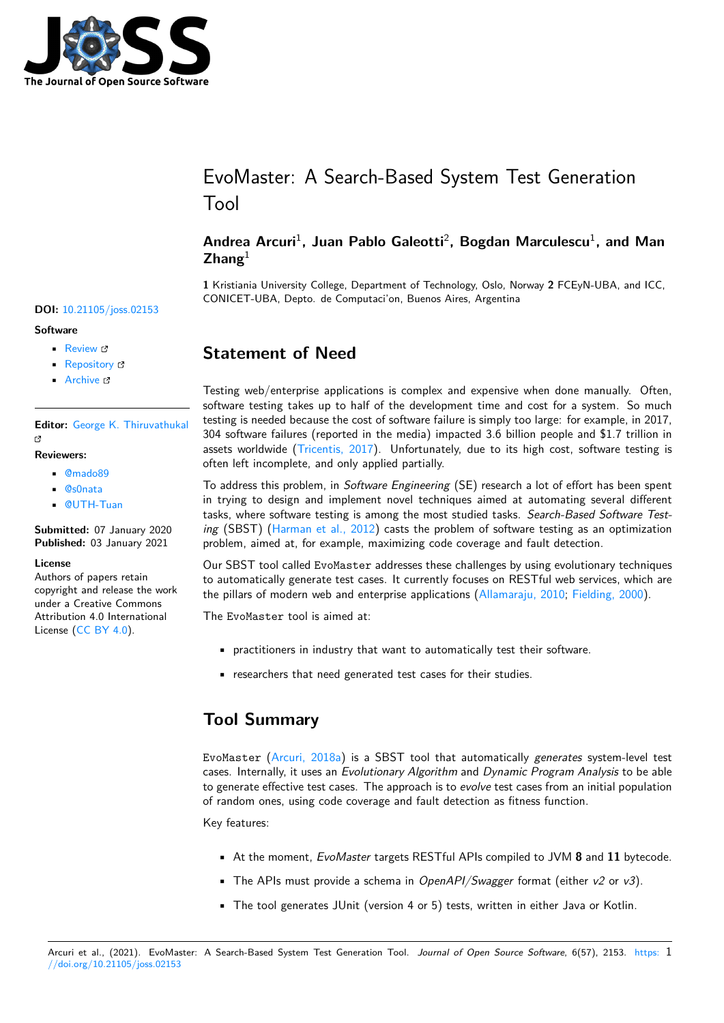

# EvoMaster: A Search-Based System Test Generation Tool

### **Andrea Arcuri**<sup>1</sup> **, Juan Pablo Galeotti**<sup>2</sup> **, Bogdan Marculescu**<sup>1</sup> **, and Man Zhang**<sup>1</sup>

**1** Kristiania University College, Department of Technology, Oslo, Norway **2** FCEyN-UBA, and ICC, CONICET-UBA, Depto. de Computaci'on, Buenos Aires, Argentina

### **Statement of Need**

Testing web/enterprise applications is complex and expensive when done manually. Often, software testing takes up to half of the development time and cost for a system. So much testing is needed because the cost of software failure is simply too large: for example, in 2017, 304 software failures (reported in the media) impacted 3.6 billion people and \$1.7 trillion in assets worldwide (Tricentis, 2017). Unfortunately, due to its high cost, software testing is often left incomplete, and only applied partially.

To address this problem, in *Software Engineering* (SE) research a lot of effort has been spent in trying to design and implement novel techniques aimed at automating several different tasks, where softw[are testing is am](#page-3-0)ong the most studied tasks. *Search-Based Software Testing* (SBST) (Harman et al., 2012) casts the problem of software testing as an optimization problem, aimed at, for example, maximizing code coverage and fault detection.

Our SBST tool called EvoMaster addresses these challenges by using evolutionary techniques to automatically generate test cases. It currently focuses on RESTful web services, which are the pillars of [modern web and ente](#page-2-0)rprise applications (Allamaraju, 2010; Fielding, 2000).

The EvoMaster tool is aimed at:

- practitioners in industry that want to automatic[ally test their soft](#page-2-1)[ware.](#page-2-2)
- researchers that need generated test cases for their studies.

## **Tool Summary**

EvoMaster (Arcuri, 2018a) is a SBST tool that automatically *generates* system-level test cases. Internally, it uses an *Evolutionary Algorithm* and *Dynamic Program Analysis* to be able to generate effective test cases. The approach is to *evolve* test cases from an initial population of random ones, using code coverage and fault detection as fitness function.

Key features:

- At the moment, *EvoMaster* targets RESTful APIs compiled to JVM **8** and **11** bytecode.
- The APIs must provide a schema in *OpenAPI/Swagger* format (either *v2* or *v3*).
- The tool generates JUnit (version 4 or 5) tests, written in either Java or Kotlin.

#### **DOI:** 10.21105/joss.02153

#### **Software**

- Review &
- [Repository](https://doi.org/10.21105/joss.02153) &
- Archive

**Editor:** [George K](https://github.com/EMResearch/EvoMaster). Thiruvathukal гł

#### **Reviewers:**

- @mado89
- @[s0nata](https://luc.edu/cs/people/ftfaculty/gkt.shtml)
- @UTH-Tuan

**Subm[itted:](https://github.com/mado89)** 07 January 2020 **Publi[shed:](https://github.com/s0nata)** 03 January 2021

#### **Licen[se](https://github.com/UTH-Tuan)**

Authors of papers retain copyright and release the work under a Creative Commons Attribution 4.0 International License (CC BY 4.0).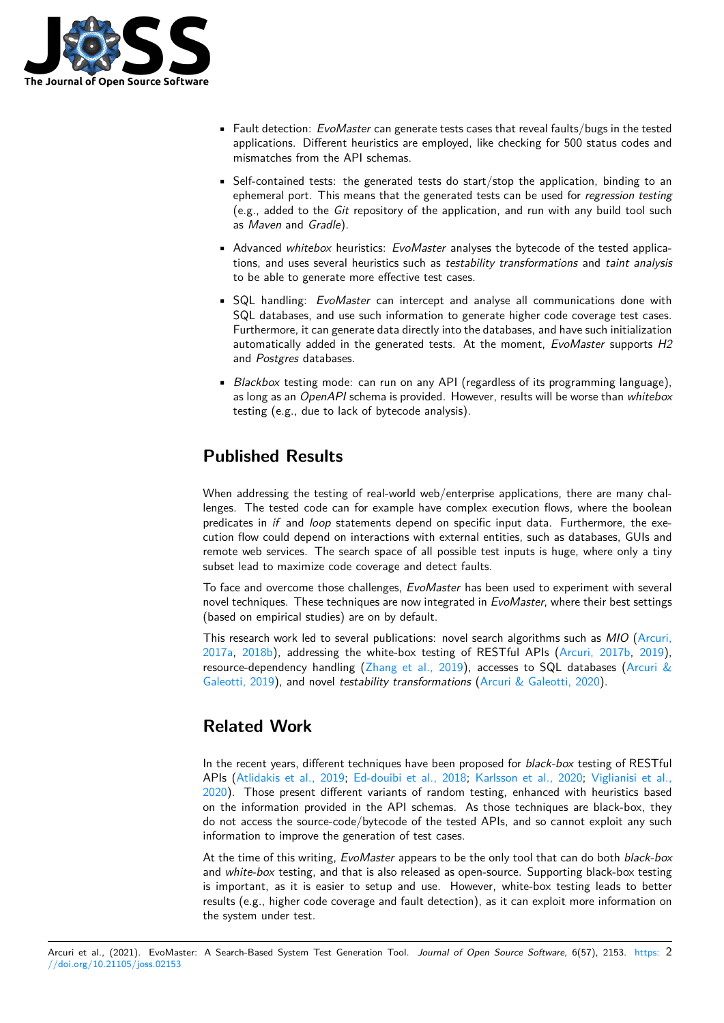

- Fault detection: *EvoMaster* can generate tests cases that reveal faults/bugs in the tested applications. Different heuristics are employed, like checking for 500 status codes and mismatches from the API schemas.
- Self-contained tests: the generated tests do start/stop the application, binding to an ephemeral port. This means that the generated tests can be used for *regression testing* (e.g., added to the *Git* repository of the application, and run with any build tool such as *Maven* and *Gradle*).
- Advanced *whitebox* heuristics: *EvoMaster* analyses the bytecode of the tested applications, and uses several heuristics such as *testability transformations* and *taint analysis* to be able to generate more effective test cases.
- SQL handling: *EvoMaster* can intercept and analyse all communications done with SQL databases, and use such information to generate higher code coverage test cases. Furthermore, it can generate data directly into the databases, and have such initialization automatically added in the generated tests. At the moment, *EvoMaster* supports *H2* and *Postgres* databases.
- *Blackbox* testing mode: can run on any API (regardless of its programming language), as long as an *OpenAPI* schema is provided. However, results will be worse than *whitebox* testing (e.g., due to lack of bytecode analysis).

# **Published Results**

When addressing the testing of real-world web/enterprise applications, there are many challenges. The tested code can for example have complex execution flows, where the boolean predicates in *if* and *loop* statements depend on specific input data. Furthermore, the execution flow could depend on interactions with external entities, such as databases, GUIs and remote web services. The search space of all possible test inputs is huge, where only a tiny subset lead to maximize code coverage and detect faults.

To face and overcome those challenges, *EvoMaster* has been used to experiment with several novel techniques. These techniques are now integrated in *EvoMaster*, where their best settings (based on empirical studies) are on by default.

This research work led to several publications: novel search algorithms such as *MIO* (Arcuri, 2017a, 2018b), addressing the white-box testing of RESTful APIs (Arcuri, 2017b, 2019), resource-dependency handling (Zhang et al., 2019), accesses to SQL databases (Arcuri & Galeotti, 2019), and novel *testability transformations* (Arcuri & Galeotti, 2020).

## **[Rel](#page-2-3)[at](#page-2-5)[ed](#page-2-4) [W](#page-2-5)ork**

In the recent years, different techniques have been proposed for *black-box* testing of RESTful APIs (Atlidakis et al., 2019; Ed-douibi et al., 2018; Karlsson et al., 2020; Viglianisi et al., 2020). Those present different variants of random testing, enhanced with heuristics based on the information provided in the API schemas. As those techniques are black-box, they do not access the source-code/bytecode of the tested APIs, and so cannot exploit any such inform[ation to improve the g](#page-2-6)[eneration of test cases.](#page-2-7)

[At th](#page-3-1)e time of this writing, *EvoMaster* appears to be the only tool that can do both *black-box* and *white-box* testing, and that is also released as open-source. Supporting black-box testing is important, as it is easier to setup and use. However, white-box testing leads to better results (e.g., higher code coverage and fault detection), as it can exploit more information on the system under test.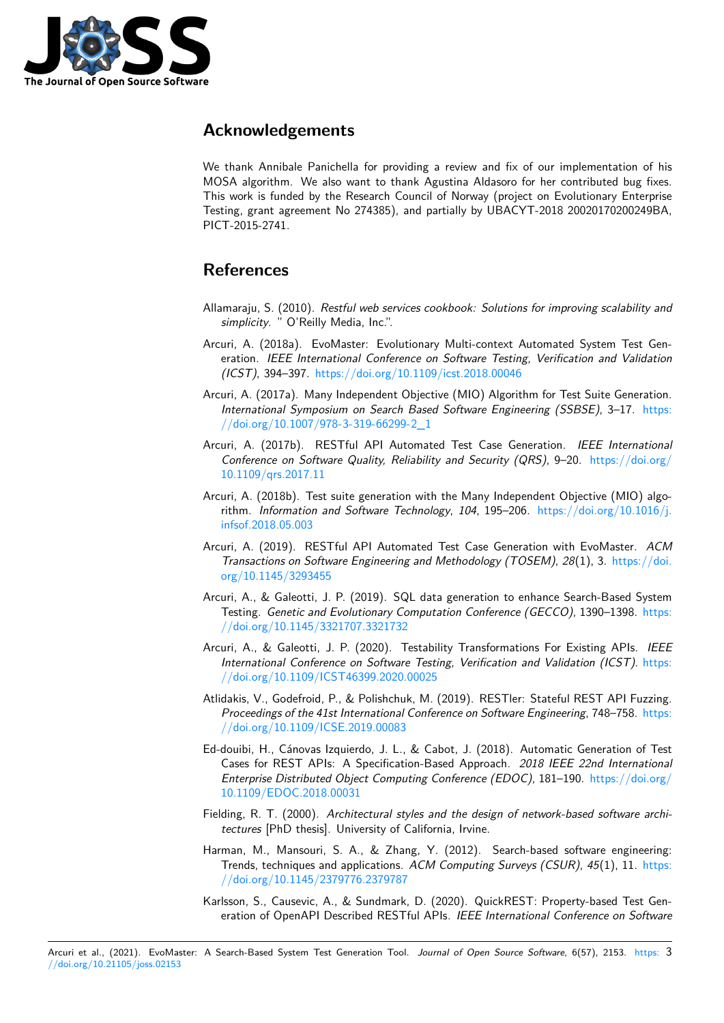

### **Acknowledgements**

We thank Annibale Panichella for providing a review and fix of our implementation of his MOSA algorithm. We also want to thank Agustina Aldasoro for her contributed bug fixes. This work is funded by the Research Council of Norway (project on Evolutionary Enterprise Testing, grant agreement No 274385), and partially by UBACYT-2018 20020170200249BA, PICT-2015-2741.

### **References**

- Allamaraju, S. (2010). *Restful web services cookbook: Solutions for improving scalability and simplicity*. " O'Reilly Media, Inc.".
- <span id="page-2-1"></span>Arcuri, A. (2018a). EvoMaster: Evolutionary Multi-context Automated System Test Generation. *IEEE International Conference on Software Testing, Verification and Validation (ICST)*, 394–397. https://doi.org/10.1109/icst.2018.00046
- Arcuri, A. (2017a). Many Independent Objective (MIO) Algorithm for Test Suite Generation. *International Symposium on Search Based Software Engineering (SSBSE)*, 3–17. https: //doi.org/10.1007[/978-3-319-66299-2\\_1](https://doi.org/10.1109/icst.2018.00046)
- <span id="page-2-3"></span>Arcuri, A. (2017b). RESTful API Automated Test Case Generation. *IEEE International Conference on Software Quality, Reliability and Security (QRS)*, 9–20. https://d[oi.org/](https://doi.org/10.1007/978-3-319-66299-2_1) [10.1109/qrs.2017.11](https://doi.org/10.1007/978-3-319-66299-2_1)
- Arcuri, A. (2018b). Test suite generation with the Many Independent Objective (MIO) algorithm. *Information and Software Technology*, *104*, 195–206. https://d[oi.org/10.1016/j.](https://doi.org/10.1109/qrs.2017.11) [infsof.2018.05.003](https://doi.org/10.1109/qrs.2017.11)
- <span id="page-2-4"></span>Arcuri, A. (2019). RESTful API Automated Test Case Generation with EvoMaster. *ACM Transactions on Software Engineering and Methodology (TOSEM)*, *28*(1), 3. [https://doi.](https://doi.org/10.1016/j.infsof.2018.05.003) [org/10.1145/3293](https://doi.org/10.1016/j.infsof.2018.05.003)455
- Arcuri, A., & Galeotti, J. P. (2019). SQL data generation to enhance Search-Based System Testing. *Genetic and Evolutionary Computation Conference (GECCO)*, 1390–1398. [https:](https://doi.org/10.1145/3293455) [//doi.org/10.1145/33](https://doi.org/10.1145/3293455)21707.3321732
- <span id="page-2-5"></span>Arcuri, A., & Galeotti, J. P. (2020). Testability Transformations For Existing APIs. *IEEE International Conference on Software Testing, Verification and Validation (ICST)*. [https:](https://doi.org/10.1145/3321707.3321732) [//doi.org/10.1109/ICST46399.2020.0](https://doi.org/10.1145/3321707.3321732)0025
- Atlidakis, V., Godefroid, P., & Polishchuk, M. (2019). RESTler: Stateful REST API Fuzzing. *Proceedings of the 41st International Conference on Software Engineering*, 748–758. [https:](https://doi.org/10.1109/ICST46399.2020.00025) [//doi.org/10.1109/ICSE.2019.00083](https://doi.org/10.1109/ICST46399.2020.00025)
- <span id="page-2-6"></span>Ed-douibi, H., Cánovas Izquierdo, J. L., & Cabot, J. (2018). Automatic Generation of Test Cases for REST APIs: A Specification-Based Approach. *2018 IEEE 22nd International Enterprise Distributed Object Computing Conference (EDOC)*, 181–190. https://d[oi.org/](https://doi.org/10.1109/ICSE.2019.00083) [10.1109/EDOC.2018.00031](https://doi.org/10.1109/ICSE.2019.00083)
- <span id="page-2-7"></span>Fielding, R. T. (2000). *Architectural styles and the design of network-based software architectures* [PhD thesis]. University of California, Irvine.
- Har[man, M., Mansouri, S. A.,](https://doi.org/10.1109/EDOC.2018.00031) & Zhang, Y. (2012). Search-based soft[ware engineering:](https://doi.org/10.1109/EDOC.2018.00031) Trends, techniques and applications. *ACM Computing Surveys (CSUR)*, *45*(1), 11. https: //doi.org/10.1145/2379776.2379787
- <span id="page-2-2"></span><span id="page-2-0"></span>Karlsson, S., Causevic, A., & Sundmark, D. (2020). QuickREST: Property-based Test Generation of OpenAPI Described RESTful APIs. *IEEE International Conference on So[ftware](https://doi.org/10.1145/2379776.2379787)*